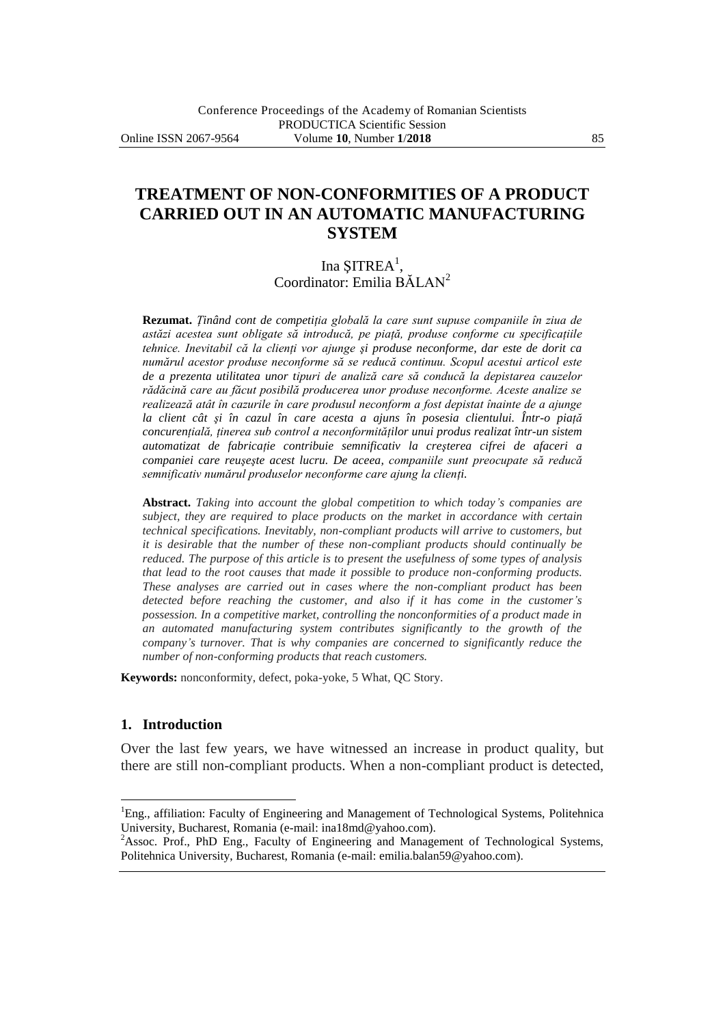# **TREATMENT OF NON-CONFORMITIES OF A PRODUCT CARRIED OUT IN AN AUTOMATIC MANUFACTURING SYSTEM**

Ina ŞITREA<sup>1</sup>, Coordinator: Emilia BĂLAN<sup>2</sup>

**Rezumat.** *Ţinând cont de competiţia globală la care sunt supuse companiile în ziua de astăzi acestea sunt obligate să introducă, pe piaţă, produse conforme cu specificaţiile tehnice. Inevitabil că la clienţi vor ajunge şi produse neconforme, dar este de dorit ca numărul acestor produse neconforme să se reducă continuu. Scopul acestui articol este de a prezenta utilitatea unor tipuri de analiză care să conducă la depistarea cauzelor rădăcină care au făcut posibilă producerea unor produse neconforme. Aceste analize se realizează atât în cazurile în care produsul neconform a fost depistat înainte de a ajunge la client cât şi în cazul în care acesta a ajuns în posesia clientului. Într-o piaţă concurenţială, ţinerea sub control a neconformităţilor unui produs realizat într-un sistem automatizat de fabricaţie contribuie semnificativ la creşterea cifrei de afaceri a companiei care reuşeşte acest lucru. De aceea, companiile sunt preocupate să reducă semnificativ numărul produselor neconforme care ajung la clienţi.*

**Abstract.** *Taking into account the global competition to which today's companies are subject, they are required to place products on the market in accordance with certain technical specifications. Inevitably, non-compliant products will arrive to customers, but it is desirable that the number of these non-compliant products should continually be reduced. The purpose of this article is to present the usefulness of some types of analysis that lead to the root causes that made it possible to produce non-conforming products. These analyses are carried out in cases where the non-compliant product has been detected before reaching the customer, and also if it has come in the customer's possession. In a competitive market, controlling the nonconformities of a product made in an automated manufacturing system contributes significantly to the growth of the company's turnover. That is why companies are concerned to significantly reduce the number of non-conforming products that reach customers.*

**Keywords:** nonconformity, defect, poka-yoke, 5 What, QC Story.

#### **1. Introduction**

 $\overline{a}$ 

Over the last few years, we have witnessed an increase in product quality, but there are still non-compliant products. When a non-compliant product is detected,

<sup>&</sup>lt;sup>1</sup>Eng., affiliation: Faculty of Engineering and Management of Technological Systems, Politehnica University, Bucharest, Romania (e-mail: ina18md@yahoo.com).

<sup>&</sup>lt;sup>2</sup>Assoc. Prof., PhD Eng., Faculty of Engineering and Management of Technological Systems, Politehnica University, Bucharest, Romania (e-mail: emilia.balan59@yahoo.com).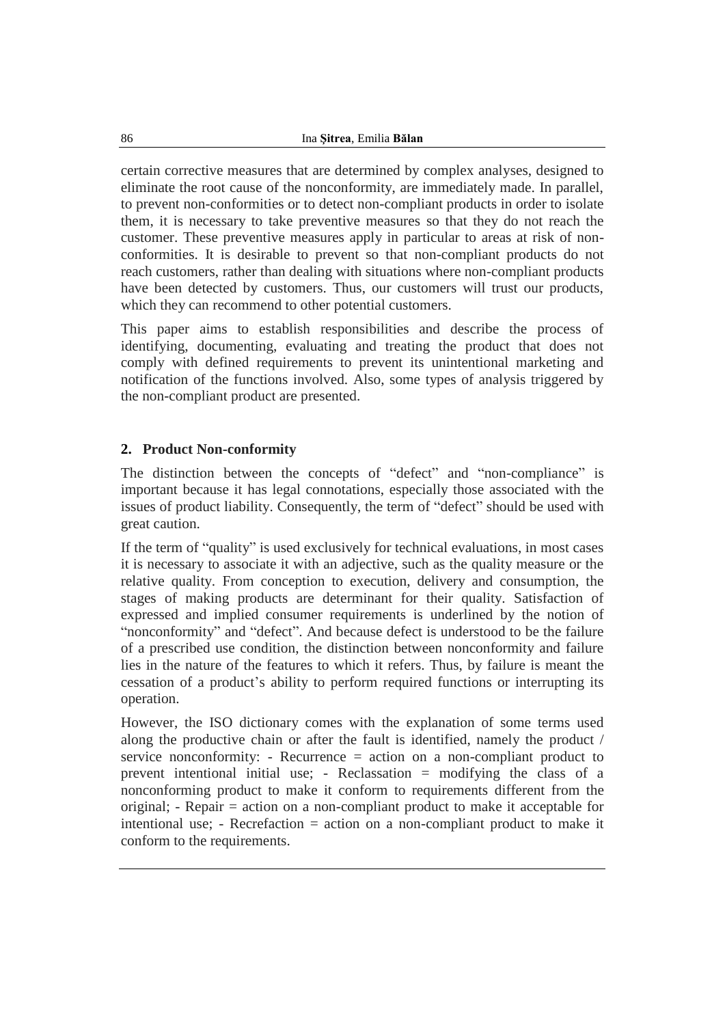certain corrective measures that are determined by complex analyses, designed to eliminate the root cause of the nonconformity, are immediately made. In parallel, to prevent non-conformities or to detect non-compliant products in order to isolate them, it is necessary to take preventive measures so that they do not reach the customer. These preventive measures apply in particular to areas at risk of nonconformities. It is desirable to prevent so that non-compliant products do not reach customers, rather than dealing with situations where non-compliant products have been detected by customers. Thus, our customers will trust our products, which they can recommend to other potential customers.

This paper aims to establish responsibilities and describe the process of identifying, documenting, evaluating and treating the product that does not comply with defined requirements to prevent its unintentional marketing and notification of the functions involved. Also, some types of analysis triggered by the non-compliant product are presented.

### **2. Product Non-conformity**

The distinction between the concepts of "defect" and "non-compliance" is important because it has legal connotations, especially those associated with the issues of product liability. Consequently, the term of "defect" should be used with great caution.

If the term of "quality" is used exclusively for technical evaluations, in most cases it is necessary to associate it with an adjective, such as the quality measure or the relative quality. From conception to execution, delivery and consumption, the stages of making products are determinant for their quality. Satisfaction of expressed and implied consumer requirements is underlined by the notion of "nonconformity" and "defect". And because defect is understood to be the failure of a prescribed use condition, the distinction between nonconformity and failure lies in the nature of the features to which it refers. Thus, by failure is meant the cessation of a product's ability to perform required functions or interrupting its operation.

However, the ISO dictionary comes with the explanation of some terms used along the productive chain or after the fault is identified, namely the product / service nonconformity: - Recurrence = action on a non-compliant product to prevent intentional initial use; - Reclassation = modifying the class of a nonconforming product to make it conform to requirements different from the original; - Repair = action on a non-compliant product to make it acceptable for intentional use; - Recrefaction = action on a non-compliant product to make it conform to the requirements.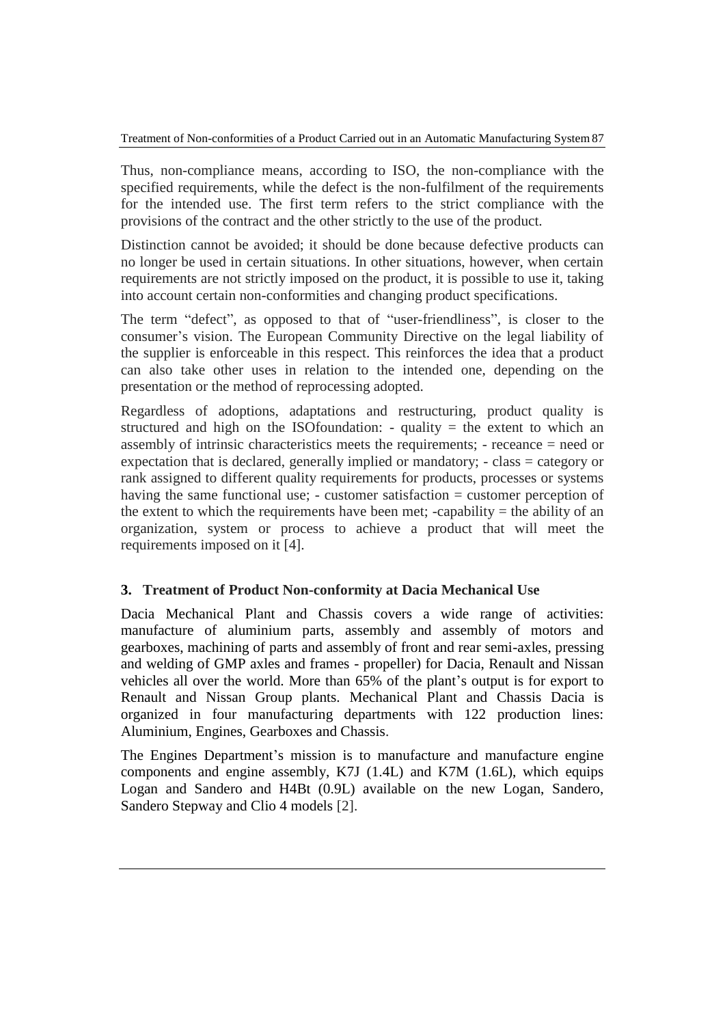Thus, non-compliance means, according to ISO, the non-compliance with the specified requirements, while the defect is the non-fulfilment of the requirements for the intended use. The first term refers to the strict compliance with the provisions of the contract and the other strictly to the use of the product.

Distinction cannot be avoided; it should be done because defective products can no longer be used in certain situations. In other situations, however, when certain requirements are not strictly imposed on the product, it is possible to use it, taking into account certain non-conformities and changing product specifications.

The term "defect", as opposed to that of "user-friendliness", is closer to the consumer's vision. The European Community Directive on the legal liability of the supplier is enforceable in this respect. This reinforces the idea that a product can also take other uses in relation to the intended one, depending on the presentation or the method of reprocessing adopted.

Regardless of adoptions, adaptations and restructuring, product quality is structured and high on the ISO foundation:  $-$  quality  $=$  the extent to which an assembly of intrinsic characteristics meets the requirements; - receance = need or expectation that is declared, generally implied or mandatory; - class = category or rank assigned to different quality requirements for products, processes or systems having the same functional use; - customer satisfaction = customer perception of the extent to which the requirements have been met; -capability  $=$  the ability of an organization, system or process to achieve a product that will meet the requirements imposed on it [4].

### **3. Treatment of Product Non-conformity at Dacia Mechanical Use**

Dacia Mechanical Plant and Chassis covers a wide range of activities: manufacture of aluminium parts, assembly and assembly of motors and gearboxes, machining of parts and assembly of front and rear semi-axles, pressing and welding of GMP axles and frames - propeller) for Dacia, Renault and Nissan vehicles all over the world. More than 65% of the plant's output is for export to Renault and Nissan Group plants. Mechanical Plant and Chassis Dacia is organized in four manufacturing departments with 122 production lines: Aluminium, Engines, Gearboxes and Chassis.

The Engines Department's mission is to manufacture and manufacture engine components and engine assembly, K7J (1.4L) and K7M (1.6L), which equips Logan and Sandero and H4Bt (0.9L) available on the new Logan, Sandero, Sandero Stepway and Clio 4 models [2].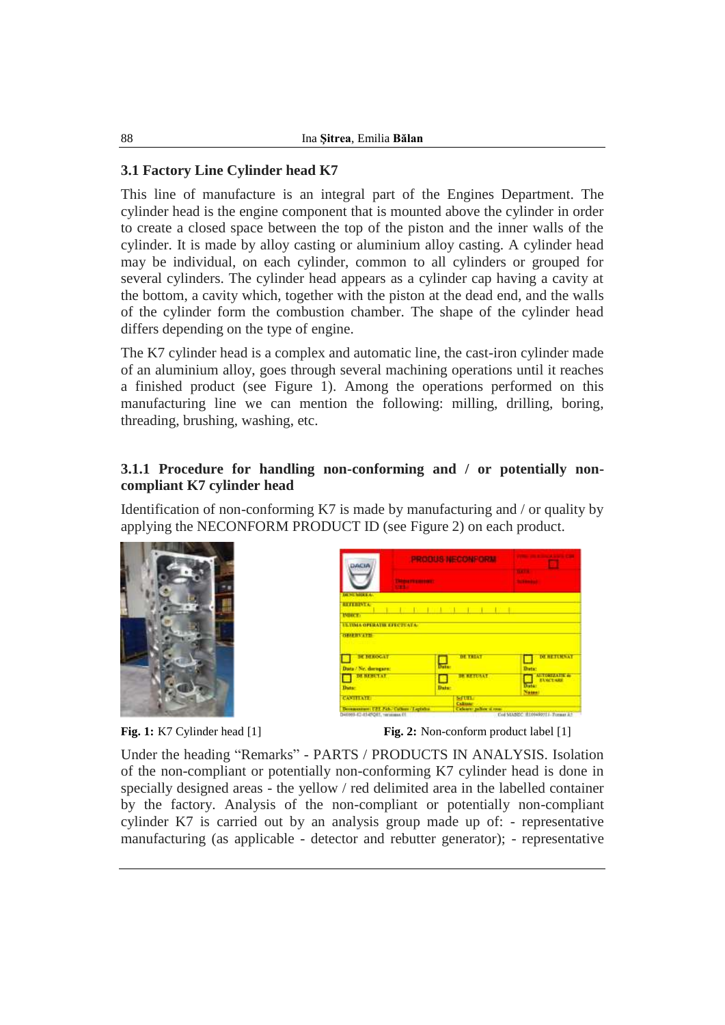## **3.1 Factory Line Cylinder head K7**

This line of manufacture is an integral part of the Engines Department. The cylinder head is the engine component that is mounted above the cylinder in order to create a closed space between the top of the piston and the inner walls of the cylinder. It is made by alloy casting or aluminium alloy casting. A cylinder head may be individual, on each cylinder, common to all cylinders or grouped for several cylinders. The cylinder head appears as a cylinder cap having a cavity at the bottom, a cavity which, together with the piston at the dead end, and the walls of the cylinder form the combustion chamber. The shape of the cylinder head differs depending on the type of engine.

The K7 cylinder head is a complex and automatic line, the cast-iron cylinder made of an aluminium alloy, goes through several machining operations until it reaches a finished product (see Figure 1). Among the operations performed on this manufacturing line we can mention the following: milling, drilling, boring, threading, brushing, washing, etc.

### **3.1.1 Procedure for handling non-conforming and / or potentially noncompliant K7 cylinder head**

Identification of non-conforming K7 is made by manufacturing and / or quality by applying the NECONFORM PRODUCT ID (see Figure 2) on each product.



| DACIA                                     |                                               |                                                                              |  |  |
|-------------------------------------------|-----------------------------------------------|------------------------------------------------------------------------------|--|--|
| <b>START</b>                              |                                               |                                                                              |  |  |
| <b>IN SEAHERS.</b>                        |                                               |                                                                              |  |  |
| <b>ELITERATA</b><br><b>ISBICE:</b>        | She are the family wheels are the family      |                                                                              |  |  |
| <b>ELTIMA OPERATIE EFECTUATA:</b>         |                                               |                                                                              |  |  |
| <b>GENERVATH</b>                          |                                               |                                                                              |  |  |
|                                           |                                               |                                                                              |  |  |
| <b>BETHEROGAT</b><br>Data / Ne. decogars: | <b>STATISTICS</b><br><b>DE TREAT</b><br>Daise | <b>DE RETURNAT</b><br><b>Data:</b>                                           |  |  |
| DE BEBUTAT                                | <b>SK RETURNT</b>                             | <b>MITTERSTARTER</b>                                                         |  |  |
| Data:                                     | <b>Data</b> :                                 | <b>EVACTARY</b><br><b>Data:</b><br>Network                                   |  |  |
| <b>CANTTATE</b>                           | <b>SEPTITE</b>                                | <b>Calimar</b>                                                               |  |  |
| Decementary UEL Fab., Cathery / Lighthair |                                               | Calcarer pulses of room<br><b>CONTRACTOR COMMUNIST CONTRACTOR CONTRACTOR</b> |  |  |

**Fig. 1:** K7 Cylinder head [1] **Fig. 2:** Non-conform product label [1]

Under the heading "Remarks" - PARTS / PRODUCTS IN ANALYSIS. Isolation of the non-compliant or potentially non-conforming K7 cylinder head is done in specially designed areas - the yellow / red delimited area in the labelled container by the factory. Analysis of the non-compliant or potentially non-compliant cylinder K7 is carried out by an analysis group made up of: - representative manufacturing (as applicable - detector and rebutter generator); - representative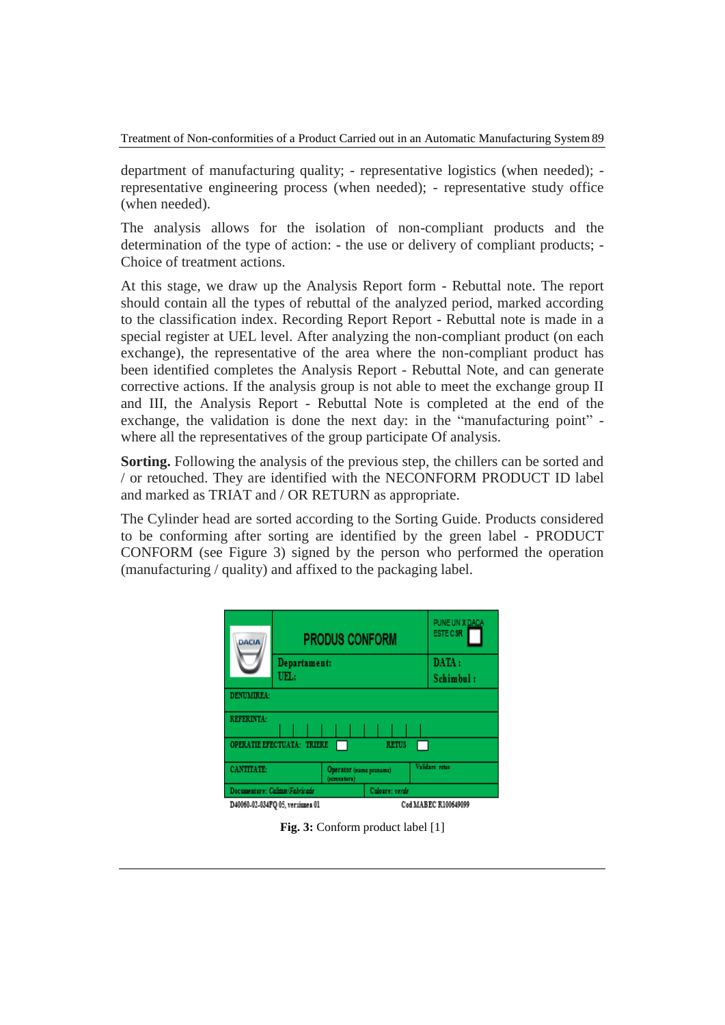Treatment of Non-conformities of a Product Carried out in an Automatic Manufacturing System89

department of manufacturing quality; - representative logistics (when needed); representative engineering process (when needed); - representative study office (when needed).

The analysis allows for the isolation of non-compliant products and the determination of the type of action: - the use or delivery of compliant products; - Choice of treatment actions.

At this stage, we draw up the Analysis Report form - Rebuttal note. The report should contain all the types of rebuttal of the analyzed period, marked according to the classification index. Recording Report Report - Rebuttal note is made in a special register at UEL level. After analyzing the non-compliant product (on each exchange), the representative of the area where the non-compliant product has been identified completes the Analysis Report - Rebuttal Note, and can generate corrective actions. If the analysis group is not able to meet the exchange group II and III, the Analysis Report - Rebuttal Note is completed at the end of the exchange, the validation is done the next day: in the "manufacturing point" where all the representatives of the group participate Of analysis.

**Sorting.** Following the analysis of the previous step, the chillers can be sorted and / or retouched. They are identified with the NECONFORM PRODUCT ID label and marked as TRIAT and / OR RETURN as appropriate.

The Cylinder head are sorted according to the Sorting Guide. Products considered to be conforming after sorting are identified by the green label - PRODUCT CONFORM (see Figure 3) signed by the person who performed the operation (manufacturing / quality) and affixed to the packaging label.

| <b>DACIA</b>                               |              | <b>PRODUS CONFORM</b>                  |           | PUNE UN X DACA<br><b>ESTE C SR</b> |  |
|--------------------------------------------|--------------|----------------------------------------|-----------|------------------------------------|--|
|                                            | Departament: |                                        |           | DATA:                              |  |
| UEL:                                       |              |                                        | Schimbul: |                                    |  |
| DENUMIREA:                                 |              |                                        |           |                                    |  |
| <b>REFERINTA:</b>                          |              |                                        |           |                                    |  |
| OPERATIE EFECTUATA: TRIERE<br><b>RETUS</b> |              |                                        |           |                                    |  |
| <b>CANTITATE:</b>                          |              | Operator (nume prenume)<br>(somnatura) |           | Validare retur                     |  |
| Documentare: Calitats/Fabricads            |              | Culoare: verde                         |           |                                    |  |
| D40060-02-034FO 05, versiunea 01           |              | Cod MABEC R100649099                   |           |                                    |  |

**Fig. 3:** Conform product label [1]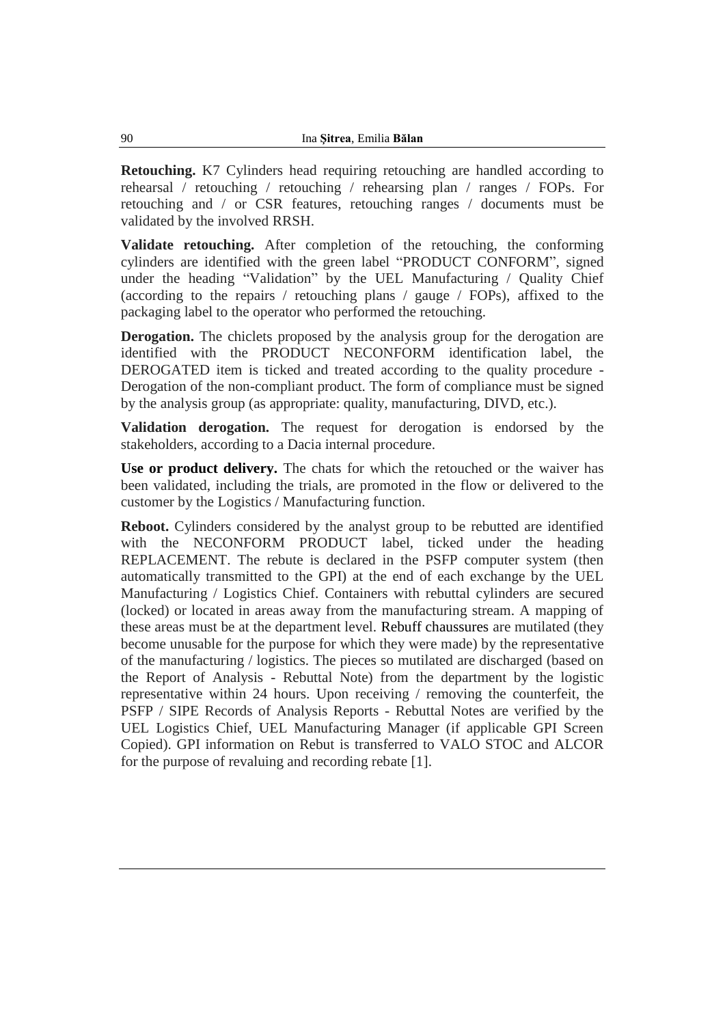**Retouching.** K7 Cylinders head requiring retouching are handled according to rehearsal / retouching / retouching / rehearsing plan / ranges / FOPs. For retouching and / or CSR features, retouching ranges / documents must be validated by the involved RRSH.

**Validate retouching.** After completion of the retouching, the conforming cylinders are identified with the green label "PRODUCT CONFORM", signed under the heading "Validation" by the UEL Manufacturing / Quality Chief (according to the repairs / retouching plans / gauge / FOPs), affixed to the packaging label to the operator who performed the retouching.

**Derogation.** The chiclets proposed by the analysis group for the derogation are identified with the PRODUCT NECONFORM identification label, the DEROGATED item is ticked and treated according to the quality procedure - Derogation of the non-compliant product. The form of compliance must be signed by the analysis group (as appropriate: quality, manufacturing, DIVD, etc.).

**Validation derogation.** The request for derogation is endorsed by the stakeholders, according to a Dacia internal procedure.

**Use or product delivery.** The chats for which the retouched or the waiver has been validated, including the trials, are promoted in the flow or delivered to the customer by the Logistics / Manufacturing function.

**Reboot.** Cylinders considered by the analyst group to be rebutted are identified with the NECONFORM PRODUCT label, ticked under the heading REPLACEMENT. The rebute is declared in the PSFP computer system (then automatically transmitted to the GPI) at the end of each exchange by the UEL Manufacturing / Logistics Chief. Containers with rebuttal cylinders are secured (locked) or located in areas away from the manufacturing stream. A mapping of these areas must be at the department level. Rebuff chaussures are mutilated (they become unusable for the purpose for which they were made) by the representative of the manufacturing / logistics. The pieces so mutilated are discharged (based on the Report of Analysis - Rebuttal Note) from the department by the logistic representative within 24 hours. Upon receiving / removing the counterfeit, the PSFP / SIPE Records of Analysis Reports - Rebuttal Notes are verified by the UEL Logistics Chief, UEL Manufacturing Manager (if applicable GPI Screen Copied). GPI information on Rebut is transferred to VALO STOC and ALCOR for the purpose of revaluing and recording rebate [1].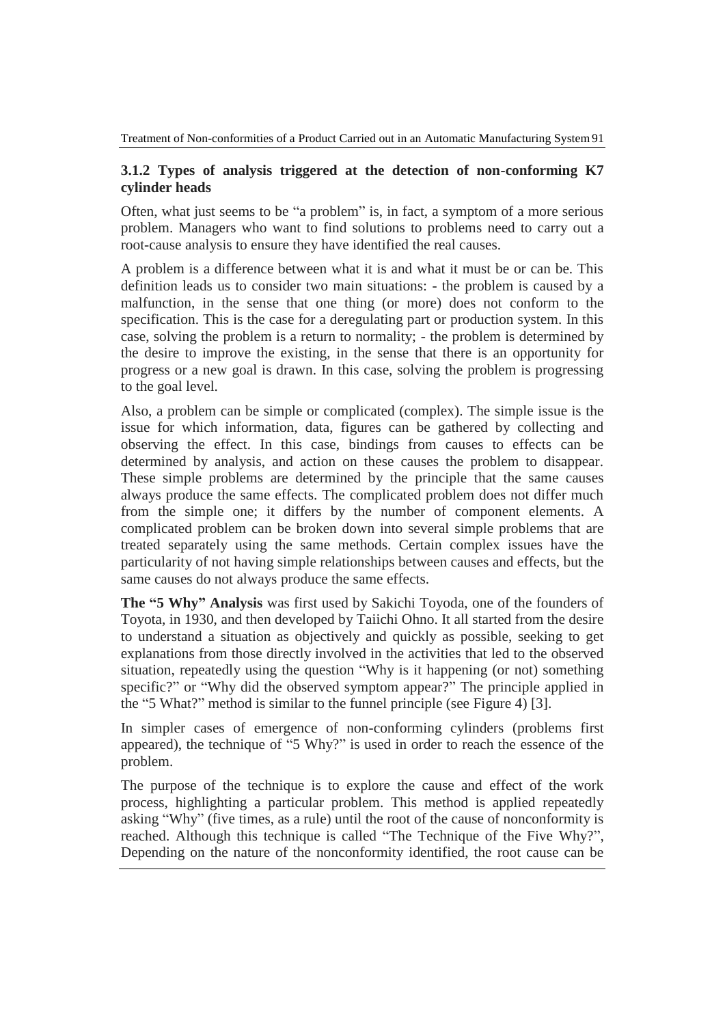#### **3.1.2 Types of analysis triggered at the detection of non-conforming K7 cylinder heads**

Often, what just seems to be "a problem" is, in fact, a symptom of a more serious problem. Managers who want to find solutions to problems need to carry out a root-cause analysis to ensure they have identified the real causes.

A problem is a difference between what it is and what it must be or can be. This definition leads us to consider two main situations: - the problem is caused by a malfunction, in the sense that one thing (or more) does not conform to the specification. This is the case for a deregulating part or production system. In this case, solving the problem is a return to normality; - the problem is determined by the desire to improve the existing, in the sense that there is an opportunity for progress or a new goal is drawn. In this case, solving the problem is progressing to the goal level.

Also, a problem can be simple or complicated (complex). The simple issue is the issue for which information, data, figures can be gathered by collecting and observing the effect. In this case, bindings from causes to effects can be determined by analysis, and action on these causes the problem to disappear. These simple problems are determined by the principle that the same causes always produce the same effects. The complicated problem does not differ much from the simple one; it differs by the number of component elements. A complicated problem can be broken down into several simple problems that are treated separately using the same methods. Certain complex issues have the particularity of not having simple relationships between causes and effects, but the same causes do not always produce the same effects.

**The "5 Why" Analysis** was first used by Sakichi Toyoda, one of the founders of Toyota, in 1930, and then developed by Taiichi Ohno. It all started from the desire to understand a situation as objectively and quickly as possible, seeking to get explanations from those directly involved in the activities that led to the observed situation, repeatedly using the question "Why is it happening (or not) something specific?" or "Why did the observed symptom appear?" The principle applied in the "5 What?" method is similar to the funnel principle (see Figure 4) [3].

In simpler cases of emergence of non-conforming cylinders (problems first appeared), the technique of "5 Why?" is used in order to reach the essence of the problem.

The purpose of the technique is to explore the cause and effect of the work process, highlighting a particular problem. This method is applied repeatedly asking "Why" (five times, as a rule) until the root of the cause of nonconformity is reached. Although this technique is called "The Technique of the Five Why?", Depending on the nature of the nonconformity identified, the root cause can be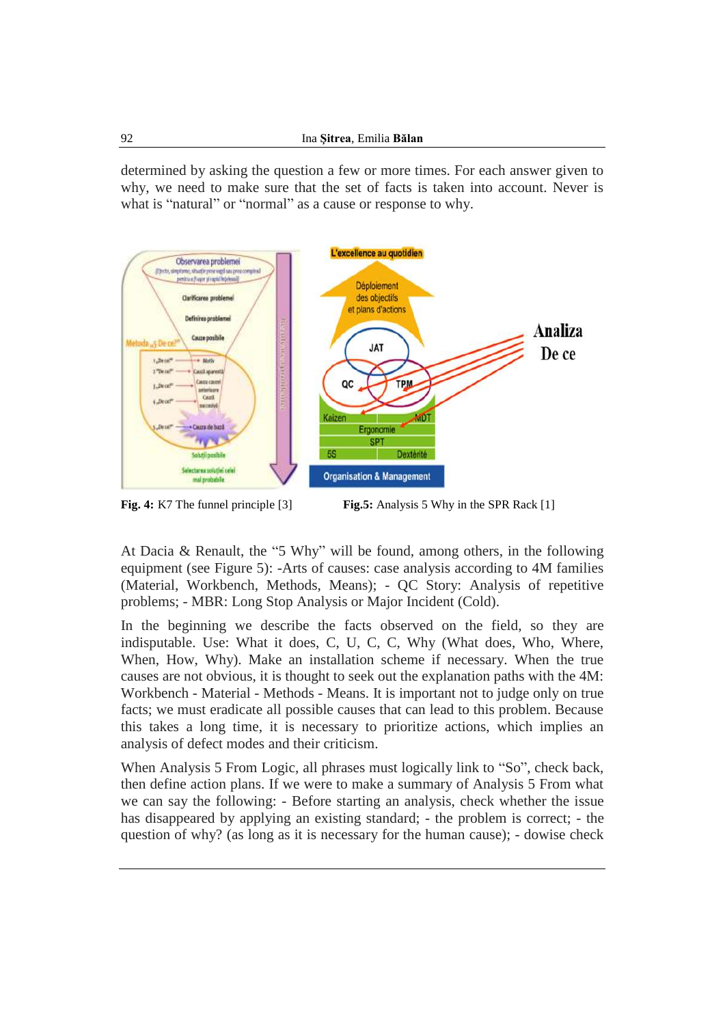determined by asking the question a few or more times. For each answer given to why, we need to make sure that the set of facts is taken into account. Never is what is "natural" or "normal" as a cause or response to why.



**Fig. 4:** K7 The funnel principle [3] **Fig.5:** Analysis 5 Why in the SPR Rack [1]

At Dacia & Renault, the "5 Why" will be found, among others, in the following equipment (see Figure 5): -Arts of causes: case analysis according to 4M families (Material, Workbench, Methods, Means); - QC Story: Analysis of repetitive problems; - MBR: Long Stop Analysis or Major Incident (Cold).

In the beginning we describe the facts observed on the field, so they are indisputable. Use: What it does, C, U, C, C, Why (What does, Who, Where, When, How, Why). Make an installation scheme if necessary. When the true causes are not obvious, it is thought to seek out the explanation paths with the 4M: Workbench - Material - Methods - Means. It is important not to judge only on true facts; we must eradicate all possible causes that can lead to this problem. Because this takes a long time, it is necessary to prioritize actions, which implies an analysis of defect modes and their criticism.

When Analysis 5 From Logic, all phrases must logically link to "So", check back, then define action plans. If we were to make a summary of Analysis 5 From what we can say the following: - Before starting an analysis, check whether the issue has disappeared by applying an existing standard; - the problem is correct; - the question of why? (as long as it is necessary for the human cause); - dowise check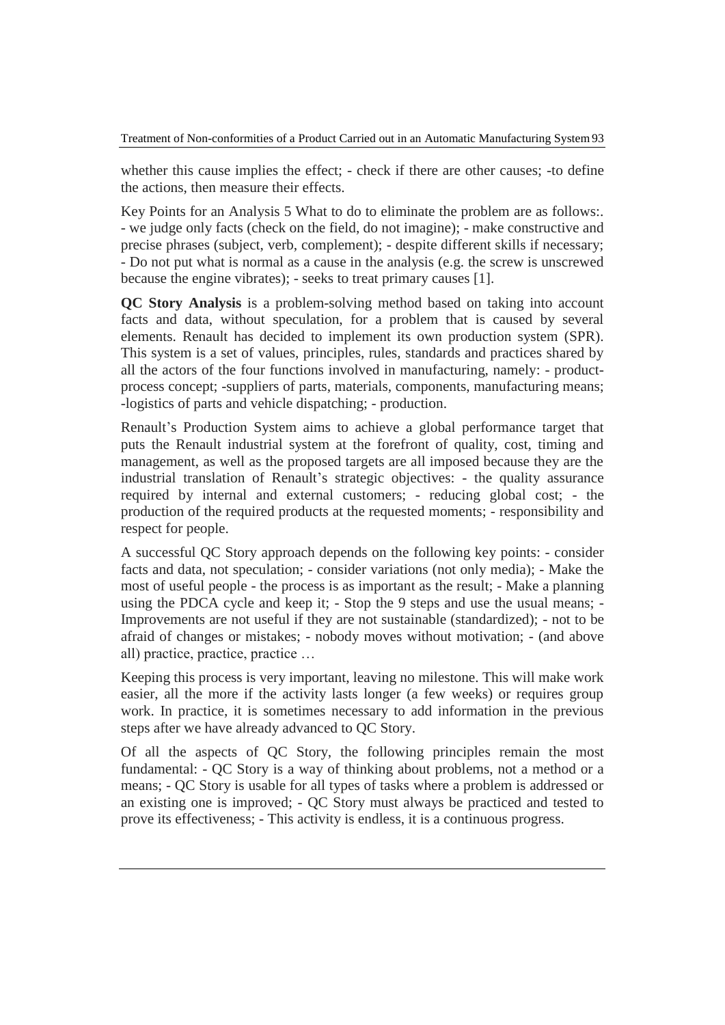whether this cause implies the effect; - check if there are other causes; -to define the actions, then measure their effects.

Key Points for an Analysis 5 What to do to eliminate the problem are as follows:. - we judge only facts (check on the field, do not imagine); - make constructive and precise phrases (subject, verb, complement); - despite different skills if necessary; - Do not put what is normal as a cause in the analysis (e.g. the screw is unscrewed because the engine vibrates); - seeks to treat primary causes [1].

**QC Story Analysis** is a problem-solving method based on taking into account facts and data, without speculation, for a problem that is caused by several elements. Renault has decided to implement its own production system (SPR). This system is a set of values, principles, rules, standards and practices shared by all the actors of the four functions involved in manufacturing, namely: - productprocess concept; -suppliers of parts, materials, components, manufacturing means; -logistics of parts and vehicle dispatching; - production.

Renault's Production System aims to achieve a global performance target that puts the Renault industrial system at the forefront of quality, cost, timing and management, as well as the proposed targets are all imposed because they are the industrial translation of Renault's strategic objectives: - the quality assurance required by internal and external customers; - reducing global cost; - the production of the required products at the requested moments; - responsibility and respect for people.

A successful QC Story approach depends on the following key points: - consider facts and data, not speculation; - consider variations (not only media); - Make the most of useful people - the process is as important as the result; - Make a planning using the PDCA cycle and keep it; - Stop the 9 steps and use the usual means; - Improvements are not useful if they are not sustainable (standardized); - not to be afraid of changes or mistakes; - nobody moves without motivation; - (and above all) practice, practice, practice …

Keeping this process is very important, leaving no milestone. This will make work easier, all the more if the activity lasts longer (a few weeks) or requires group work. In practice, it is sometimes necessary to add information in the previous steps after we have already advanced to QC Story.

Of all the aspects of QC Story, the following principles remain the most fundamental: - QC Story is a way of thinking about problems, not a method or a means; - QC Story is usable for all types of tasks where a problem is addressed or an existing one is improved; - QC Story must always be practiced and tested to prove its effectiveness; - This activity is endless, it is a continuous progress.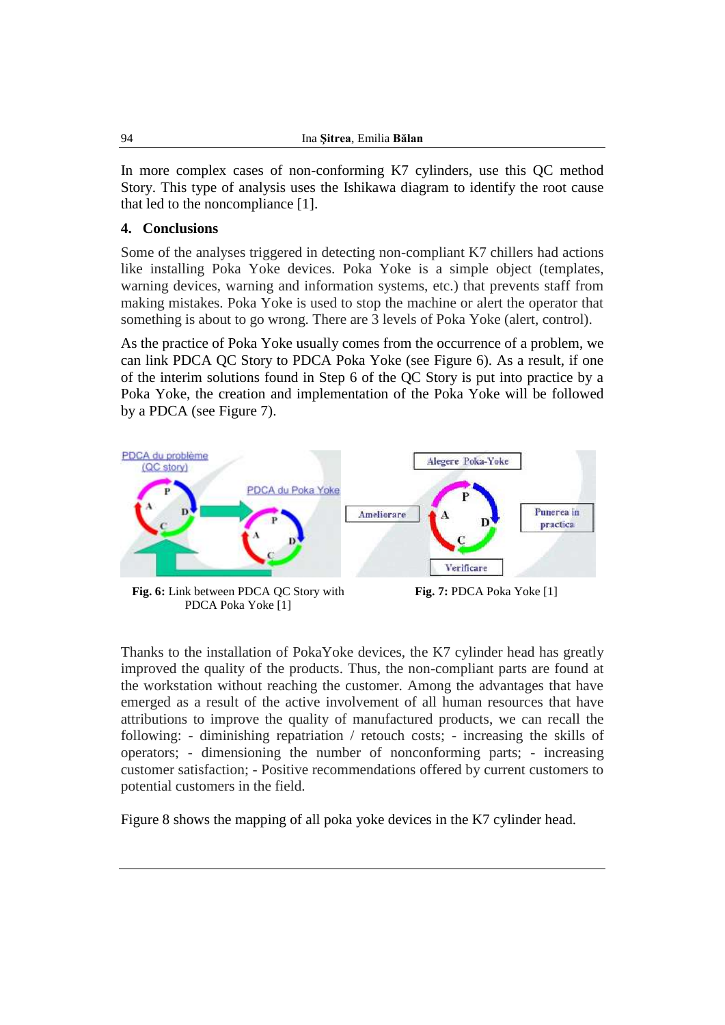In more complex cases of non-conforming K7 cylinders, use this QC method Story. This type of analysis uses the Ishikawa diagram to identify the root cause that led to the noncompliance [1].

#### **4. Conclusions**

Some of the analyses triggered in detecting non-compliant K7 chillers had actions like installing Poka Yoke devices. Poka Yoke is a simple object (templates, warning devices, warning and information systems, etc.) that prevents staff from making mistakes. Poka Yoke is used to stop the machine or alert the operator that something is about to go wrong. There are 3 levels of Poka Yoke (alert, control).

As the practice of Poka Yoke usually comes from the occurrence of a problem, we can link PDCA QC Story to PDCA Poka Yoke (see Figure 6). As a result, if one of the interim solutions found in Step 6 of the QC Story is put into practice by a Poka Yoke, the creation and implementation of the Poka Yoke will be followed by a PDCA (see Figure 7).



**Fig. 6:** Link between PDCA QC Story with PDCA Poka Yoke [1]

**Fig. 7:** PDCA Poka Yoke [1]

Thanks to the installation of PokaYoke devices, the K7 cylinder head has greatly improved the quality of the products. Thus, the non-compliant parts are found at the workstation without reaching the customer. Among the advantages that have emerged as a result of the active involvement of all human resources that have attributions to improve the quality of manufactured products, we can recall the following: - diminishing repatriation / retouch costs; - increasing the skills of operators; - dimensioning the number of nonconforming parts; - increasing customer satisfaction; - Positive recommendations offered by current customers to potential customers in the field.

Figure 8 shows the mapping of all poka yoke devices in the K7 cylinder head.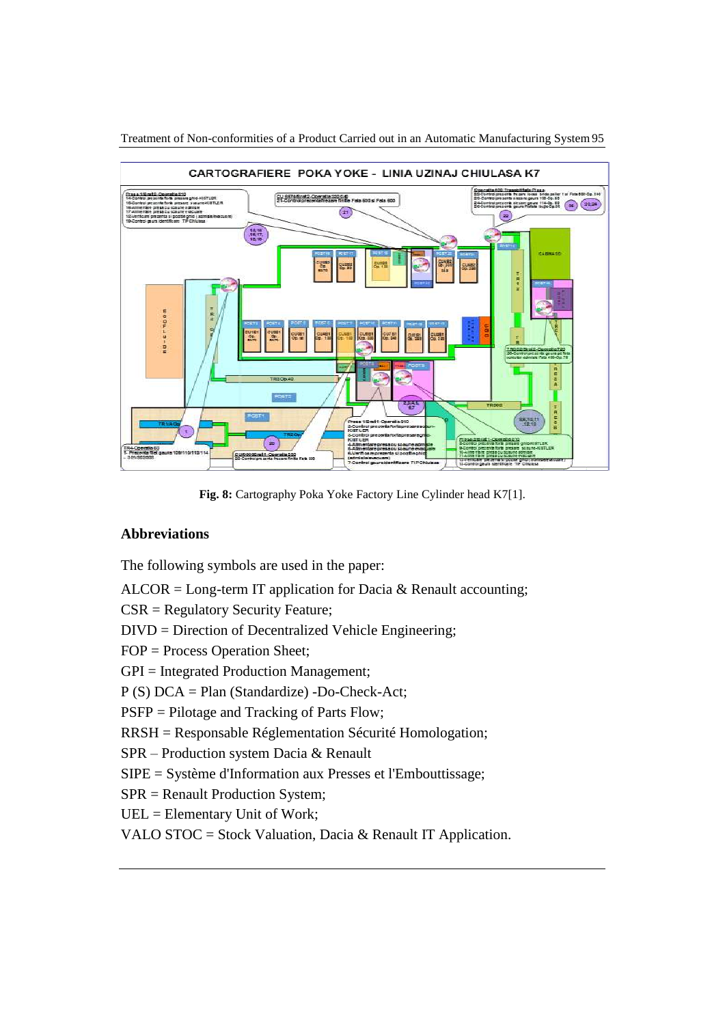

Treatment of Non-conformities of a Product Carried out in an Automatic Manufacturing System95

**Fig. 8:** Cartography Poka Yoke Factory Line Cylinder head K7[1].

#### **Abbreviations**

The following symbols are used in the paper:

ALCOR = Long-term IT application for Dacia & Renault accounting;

CSR = Regulatory Security Feature;

DIVD = Direction of Decentralized Vehicle Engineering;

FOP = Process Operation Sheet;

GPI = Integrated Production Management;

P (S) DCA = Plan (Standardize) -Do-Check-Act;

PSFP = Pilotage and Tracking of Parts Flow;

RRSH = Responsable Réglementation Sécurité Homologation;

SPR – Production system Dacia & Renault

SIPE = Système d'Information aux Presses et l'Embouttissage;

SPR = Renault Production System;

UEL = Elementary Unit of Work;

VALO STOC = Stock Valuation, Dacia & Renault IT Application.